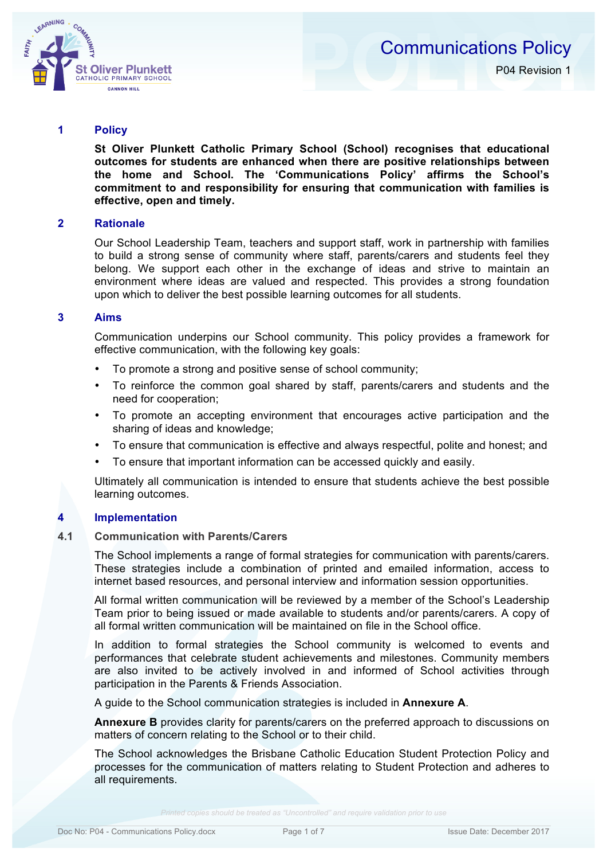

#### **1 Policy**

**St Oliver Plunkett Catholic Primary School (School) recognises that educational outcomes for students are enhanced when there are positive relationships between the home and School. The 'Communications Policy' affirms the School's commitment to and responsibility for ensuring that communication with families is effective, open and timely.**

### **2 Rationale**

Our School Leadership Team, teachers and support staff, work in partnership with families to build a strong sense of community where staff, parents/carers and students feel they belong. We support each other in the exchange of ideas and strive to maintain an environment where ideas are valued and respected. This provides a strong foundation upon which to deliver the best possible learning outcomes for all students.

#### **3 Aims**

Communication underpins our School community. This policy provides a framework for effective communication, with the following key goals:

- To promote a strong and positive sense of school community;
- To reinforce the common goal shared by staff, parents/carers and students and the need for cooperation;
- To promote an accepting environment that encourages active participation and the sharing of ideas and knowledge;
- To ensure that communication is effective and always respectful, polite and honest; and
- To ensure that important information can be accessed quickly and easily.

Ultimately all communication is intended to ensure that students achieve the best possible learning outcomes.

### **4 Implementation**

#### **4.1 Communication with Parents/Carers**

The School implements a range of formal strategies for communication with parents/carers. These strategies include a combination of printed and emailed information, access to internet based resources, and personal interview and information session opportunities.

All formal written communication will be reviewed by a member of the School's Leadership Team prior to being issued or made available to students and/or parents/carers. A copy of all formal written communication will be maintained on file in the School office.

In addition to formal strategies the School community is welcomed to events and performances that celebrate student achievements and milestones. Community members are also invited to be actively involved in and informed of School activities through participation in the Parents & Friends Association.

A guide to the School communication strategies is included in **Annexure A**.

**Annexure B** provides clarity for parents/carers on the preferred approach to discussions on matters of concern relating to the School or to their child.

The School acknowledges the Brisbane Catholic Education Student Protection Policy and processes for the communication of matters relating to Student Protection and adheres to all requirements.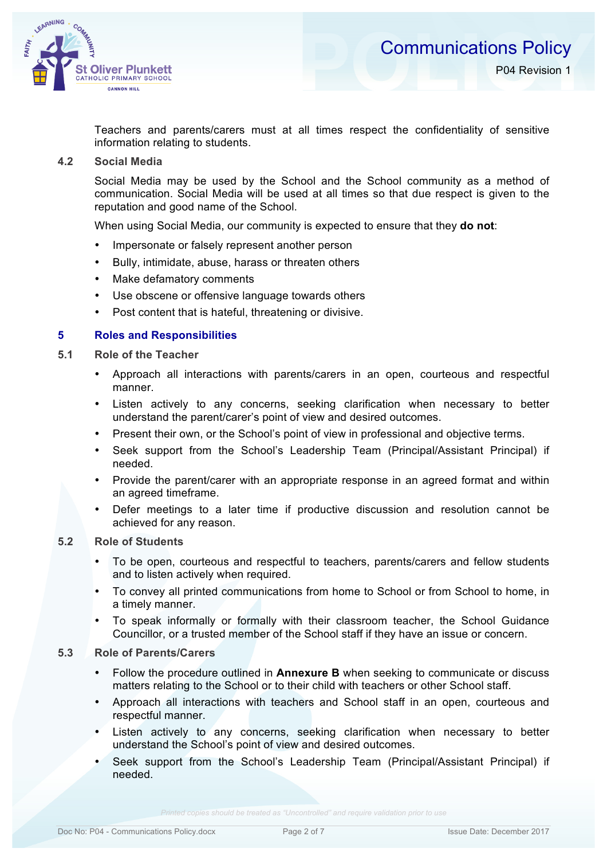

Teachers and parents/carers must at all times respect the confidentiality of sensitive information relating to students.

# **4.2 Social Media**

CANNON HILL

LEARNING

Social Media may be used by the School and the School community as a method of communication. Social Media will be used at all times so that due respect is given to the reputation and good name of the School.

When using Social Media, our community is expected to ensure that they **do not**:

- Impersonate or falsely represent another person
- Bully, intimidate, abuse, harass or threaten others
- Make defamatory comments
- Use obscene or offensive language towards others
- Post content that is hateful, threatening or divisive.

# **5 Roles and Responsibilities**

- **5.1 Role of the Teacher**
	- Approach all interactions with parents/carers in an open, courteous and respectful manner.
	- Listen actively to any concerns, seeking clarification when necessary to better understand the parent/carer's point of view and desired outcomes.
	- Present their own, or the School's point of view in professional and objective terms.
	- Seek support from the School's Leadership Team (Principal/Assistant Principal) if needed.
	- Provide the parent/carer with an appropriate response in an agreed format and within an agreed timeframe.
	- Defer meetings to a later time if productive discussion and resolution cannot be achieved for any reason.

# **5.2 Role of Students**

- To be open, courteous and respectful to teachers, parents/carers and fellow students and to listen actively when required.
- To convey all printed communications from home to School or from School to home, in a timely manner.
- To speak informally or formally with their classroom teacher, the School Guidance Councillor, or a trusted member of the School staff if they have an issue or concern.

# **5.3 Role of Parents/Carers**

- Follow the procedure outlined in **Annexure B** when seeking to communicate or discuss matters relating to the School or to their child with teachers or other School staff.
- Approach all interactions with teachers and School staff in an open, courteous and respectful manner.
- Listen actively to any concerns, seeking clarification when necessary to better understand the School's point of view and desired outcomes.
- Seek support from the School's Leadership Team (Principal/Assistant Principal) if needed.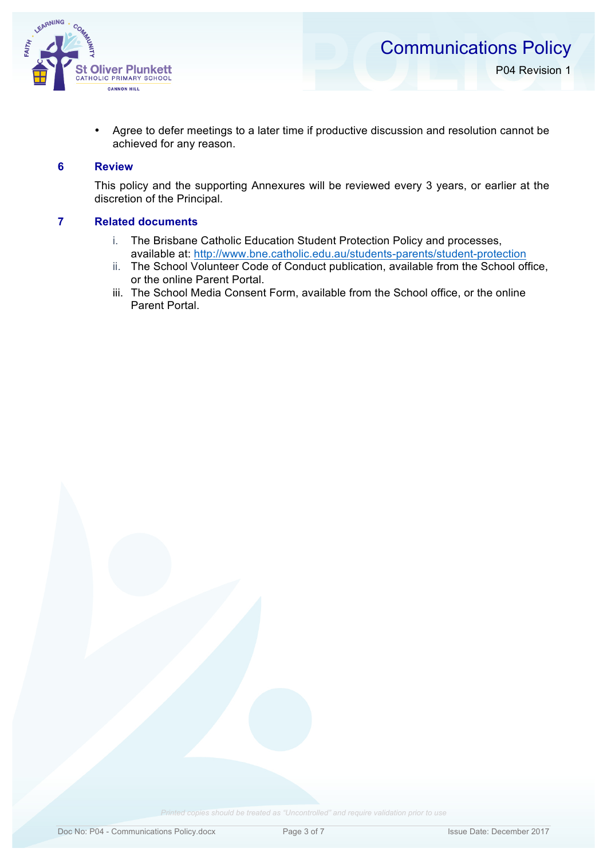



- P04 Revision 1
- Agree to defer meetings to a later time if productive discussion and resolution cannot be achieved for any reason.

#### **6 Review**

This policy and the supporting Annexures will be reviewed every 3 years, or earlier at the discretion of the Principal.

# **7 Related documents**

- i. The Brisbane Catholic Education Student Protection Policy and processes, available at: http://www.bne.catholic.edu.au/students-parents/student-protection
- ii. The School Volunteer Code of Conduct publication, available from the School office, or the online Parent Portal.
- iii. The School Media Consent Form, available from the School office, or the online Parent Portal.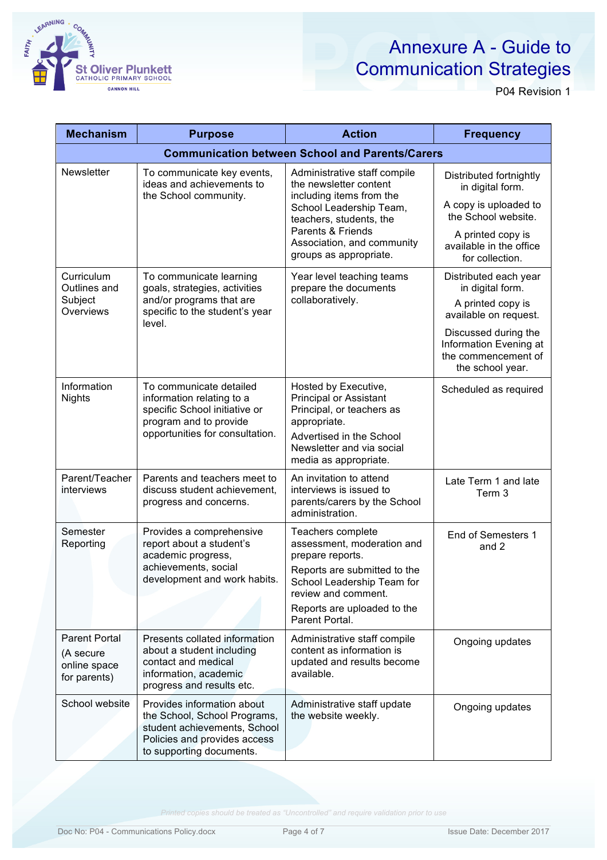

# Annexure A - Guide to Communication Strategies

P04 Revision 1

| <b>Mechanism</b>                                                  | <b>Purpose</b>                                                                                                                                         | <b>Action</b>                                                                                                                                                                                                         | <b>Frequency</b>                                                                                                                                                                     |  |
|-------------------------------------------------------------------|--------------------------------------------------------------------------------------------------------------------------------------------------------|-----------------------------------------------------------------------------------------------------------------------------------------------------------------------------------------------------------------------|--------------------------------------------------------------------------------------------------------------------------------------------------------------------------------------|--|
| <b>Communication between School and Parents/Carers</b>            |                                                                                                                                                        |                                                                                                                                                                                                                       |                                                                                                                                                                                      |  |
| Newsletter                                                        | To communicate key events,<br>ideas and achievements to<br>the School community.                                                                       | Administrative staff compile<br>the newsletter content<br>including items from the<br>School Leadership Team,<br>teachers, students, the<br>Parents & Friends<br>Association, and community<br>groups as appropriate. | Distributed fortnightly<br>in digital form.<br>A copy is uploaded to<br>the School website.<br>A printed copy is<br>available in the office<br>for collection.                       |  |
| Curriculum<br>Outlines and<br>Subject<br>Overviews                | To communicate learning<br>goals, strategies, activities<br>and/or programs that are<br>specific to the student's year<br>level.                       | Year level teaching teams<br>prepare the documents<br>collaboratively.                                                                                                                                                | Distributed each year<br>in digital form.<br>A printed copy is<br>available on request.<br>Discussed during the<br>Information Evening at<br>the commencement of<br>the school year. |  |
| Information<br><b>Nights</b>                                      | To communicate detailed<br>information relating to a<br>specific School initiative or<br>program and to provide<br>opportunities for consultation.     | Hosted by Executive,<br><b>Principal or Assistant</b><br>Principal, or teachers as<br>appropriate.<br>Advertised in the School<br>Newsletter and via social<br>media as appropriate.                                  | Scheduled as required                                                                                                                                                                |  |
| Parent/Teacher<br>interviews                                      | Parents and teachers meet to<br>discuss student achievement,<br>progress and concerns.                                                                 | An invitation to attend<br>interviews is issued to<br>parents/carers by the School<br>administration.                                                                                                                 | Late Term 1 and late<br>Term 3                                                                                                                                                       |  |
| Semester<br>Reporting                                             | Provides a comprehensive<br>report about a student's<br>academic progress,<br>achievements, social<br>development and work habits.                     | Teachers complete<br>assessment, moderation and<br>prepare reports.<br>Reports are submitted to the<br>School Leadership Team for<br>review and comment.<br>Reports are uploaded to the<br>Parent Portal.             | End of Semesters 1<br>and 2                                                                                                                                                          |  |
| <b>Parent Portal</b><br>(A secure<br>online space<br>for parents) | Presents collated information<br>about a student including<br>contact and medical<br>information, academic<br>progress and results etc.                | Administrative staff compile<br>content as information is<br>updated and results become<br>available.                                                                                                                 | Ongoing updates                                                                                                                                                                      |  |
| School website                                                    | Provides information about<br>the School, School Programs,<br>student achievements, School<br>Policies and provides access<br>to supporting documents. | Administrative staff update<br>the website weekly.                                                                                                                                                                    | Ongoing updates                                                                                                                                                                      |  |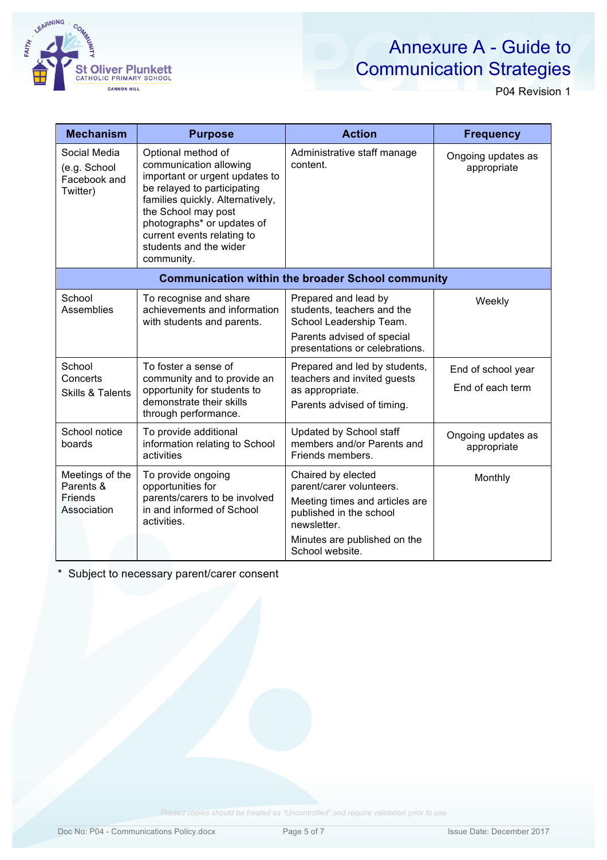

# Annexure A - Guide to Communication Strategies

P04 Revision 1

| <b>Mechanism</b>                                              | <b>Purpose</b>                                                                                                                                                                                                                                                               | <b>Action</b>                                                                                                                                                                 | <b>Frequency</b>                       |  |
|---------------------------------------------------------------|------------------------------------------------------------------------------------------------------------------------------------------------------------------------------------------------------------------------------------------------------------------------------|-------------------------------------------------------------------------------------------------------------------------------------------------------------------------------|----------------------------------------|--|
| Social Media<br>(e.g. School<br>Facebook and<br>Twitter)      | Optional method of<br>communication allowing<br>important or urgent updates to<br>be relayed to participating<br>families quickly. Alternatively,<br>the School may post<br>photographs* or updates of<br>current events relating to<br>students and the wider<br>community. | Administrative staff manage<br>content.                                                                                                                                       | Ongoing updates as<br>appropriate      |  |
| <b>Communication within the broader School community</b>      |                                                                                                                                                                                                                                                                              |                                                                                                                                                                               |                                        |  |
| School<br><b>Assemblies</b>                                   | To recognise and share<br>achievements and information<br>with students and parents.                                                                                                                                                                                         | Prepared and lead by<br>students, teachers and the<br>School Leadership Team.<br>Parents advised of special<br>presentations or celebrations.                                 | Weekly                                 |  |
| School<br>Concerts<br><b>Skills &amp; Talents</b>             | To foster a sense of<br>community and to provide an<br>opportunity for students to<br>demonstrate their skills<br>through performance.                                                                                                                                       | Prepared and led by students,<br>teachers and invited guests<br>as appropriate.<br>Parents advised of timing.                                                                 | End of school year<br>End of each term |  |
| School notice<br>boards                                       | To provide additional<br>information relating to School<br>activities                                                                                                                                                                                                        | Updated by School staff<br>members and/or Parents and<br>Friends members.                                                                                                     | Ongoing updates as<br>appropriate      |  |
| Meetings of the<br>Parents &<br><b>Friends</b><br>Association | To provide ongoing<br>opportunities for<br>parents/carers to be involved<br>in and informed of School<br>activities.                                                                                                                                                         | Chaired by elected<br>parent/carer volunteers.<br>Meeting times and articles are<br>published in the school<br>newsletter.<br>Minutes are published on the<br>School website. | Monthly                                |  |

\* Subject to necessary parent/carer consent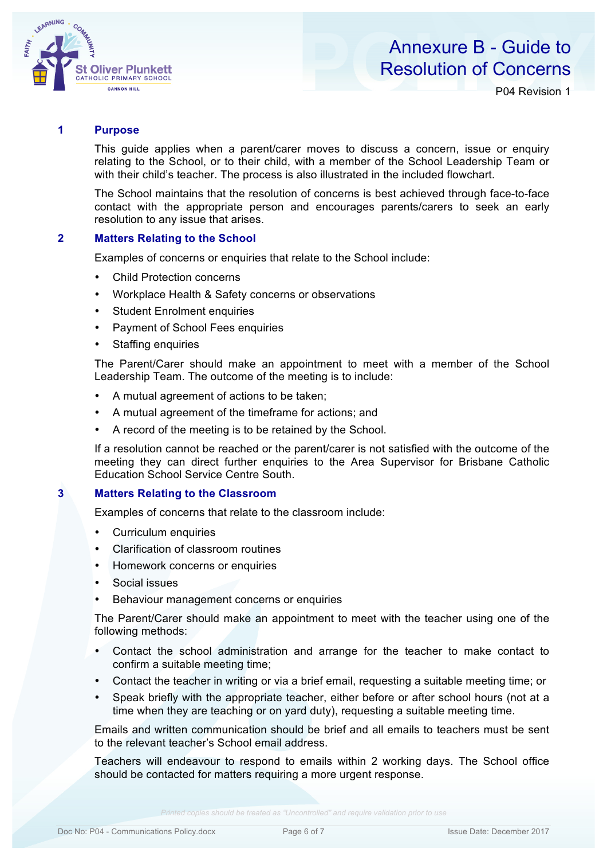

# Annexure B - Guide to Resolution of Concerns

P04 Revision 1

## **1 Purpose**

This guide applies when a parent/carer moves to discuss a concern, issue or enquiry relating to the School, or to their child, with a member of the School Leadership Team or with their child's teacher. The process is also illustrated in the included flowchart.

The School maintains that the resolution of concerns is best achieved through face-to-face contact with the appropriate person and encourages parents/carers to seek an early resolution to any issue that arises.

#### **2 Matters Relating to the School**

Examples of concerns or enquiries that relate to the School include:

- Child Protection concerns
- Workplace Health & Safety concerns or observations
- Student Enrolment enquiries
- Payment of School Fees enquiries
- Staffing enquiries

The Parent/Carer should make an appointment to meet with a member of the School Leadership Team. The outcome of the meeting is to include:

- A mutual agreement of actions to be taken;
- A mutual agreement of the timeframe for actions; and
- A record of the meeting is to be retained by the School.

If a resolution cannot be reached or the parent/carer is not satisfied with the outcome of the meeting they can direct further enquiries to the Area Supervisor for Brisbane Catholic Education School Service Centre South.

#### **3 Matters Relating to the Classroom**

Examples of concerns that relate to the classroom include:

- Curriculum enquiries
- Clarification of classroom routines
- Homework concerns or enquiries
- Social issues
- Behaviour management concerns or enquiries

The Parent/Carer should make an appointment to meet with the teacher using one of the following methods:

- Contact the school administration and arrange for the teacher to make contact to confirm a suitable meeting time;
- Contact the teacher in writing or via a brief email, requesting a suitable meeting time; or
- Speak briefly with the appropriate teacher, either before or after school hours (not at a time when they are teaching or on yard duty), requesting a suitable meeting time.

Emails and written communication should be brief and all emails to teachers must be sent to the relevant teacher's School email address.

Teachers will endeavour to respond to emails within 2 working days. The School office should be contacted for matters requiring a more urgent response.